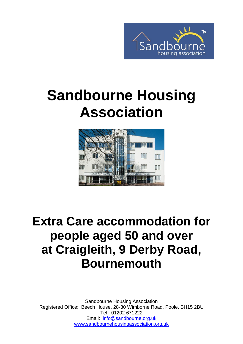

# **Sandbourne Housing Association**



# **Extra Care accommodation for people aged 50 and over at Craigleith, 9 Derby Road, Bournemouth**

Sandbourne Housing Association Registered Office: Beech House, 28-30 Wimborne Road, Poole, BH15 2BU Tel: 01202 671222 Email: [info@sandbourne.org.uk](mailto:info@sandbourne.org.uk) [www.sandbournehousingassociation.org.uk](http://www.sandbournehousingassociation.org.uk/)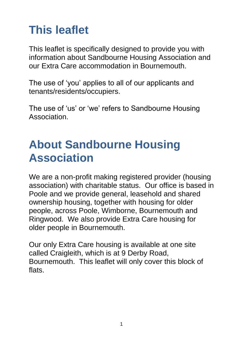# **This leaflet**

This leaflet is specifically designed to provide you with information about Sandbourne Housing Association and our Extra Care accommodation in Bournemouth.

The use of 'you' applies to all of our applicants and tenants/residents/occupiers.

The use of 'us' or 'we' refers to Sandbourne Housing Association.

#### **About Sandbourne Housing Association**

We are a non-profit making registered provider (housing association) with charitable status. Our office is based in Poole and we provide general, leasehold and shared ownership housing, together with housing for older people, across Poole, Wimborne, Bournemouth and Ringwood. We also provide Extra Care housing for older people in Bournemouth.

Our only Extra Care housing is available at one site called Craigleith, which is at 9 Derby Road, Bournemouth. This leaflet will only cover this block of flats.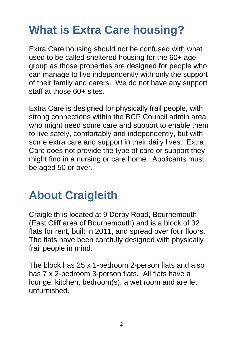## **What is Extra Care housing?**

Extra Care housing should not be confused with what used to be called sheltered housing for the 60+ age group as those properties are designed for people who can manage to live independently with only the support of their family and carers. We do not have any support staff at those 60+ sites.

Extra Care is designed for physically frail people, with strong connections within the BCP Council admin area, who might need some care and support to enable them to live safely, comfortably and independently, but with some extra care and support in their daily lives. Extra Care does not provide the type of care or support they might find in a nursing or care home. Applicants must be aged 50 or over.

#### **About Craigleith**

Craigleith is located at 9 Derby Road, Bournemouth (East Cliff area of Bournemouth) and is a block of 32 flats for rent, built in 2011, and spread over four floors. The flats have been carefully designed with physically frail people in mind.

The block has 25 x 1-bedroom 2-person flats and also has 7 x 2-bedroom 3-person flats. All flats have a lounge, kitchen, bedroom(s), a wet room and are let unfurnished.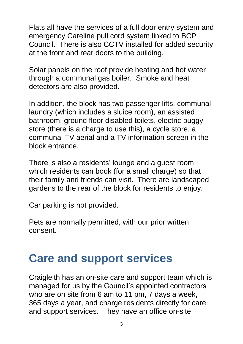Flats all have the services of a full door entry system and emergency Careline pull cord system linked to BCP Council. There is also CCTV installed for added security at the front and rear doors to the building.

Solar panels on the roof provide heating and hot water through a communal gas boiler. Smoke and heat detectors are also provided.

In addition, the block has two passenger lifts, communal laundry (which includes a sluice room), an assisted bathroom, ground floor disabled toilets, electric buggy store (there is a charge to use this), a cycle store, a communal TV aerial and a TV information screen in the block entrance.

There is also a residents' lounge and a guest room which residents can book (for a small charge) so that their family and friends can visit. There are landscaped gardens to the rear of the block for residents to enjoy.

Car parking is not provided.

Pets are normally permitted, with our prior written consent.

#### **Care and support services**

Craigleith has an on-site care and support team which is managed for us by the Council's appointed contractors who are on site from 6 am to 11 pm, 7 days a week, 365 days a year, and charge residents directly for care and support services. They have an office on-site.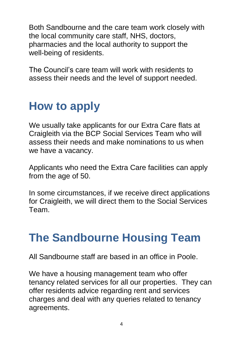Both Sandbourne and the care team work closely with the local community care staff, NHS, doctors, pharmacies and the local authority to support the well-being of residents.

The Council's care team will work with residents to assess their needs and the level of support needed.

#### **How to apply**

We usually take applicants for our Extra Care flats at Craigleith via the BCP Social Services Team who will assess their needs and make nominations to us when we have a vacancy.

Applicants who need the Extra Care facilities can apply from the age of 50.

In some circumstances, if we receive direct applications for Craigleith, we will direct them to the Social Services Team.

#### **The Sandbourne Housing Team**

All Sandbourne staff are based in an office in Poole.

We have a housing management team who offer tenancy related services for all our properties. They can offer residents advice regarding rent and services charges and deal with any queries related to tenancy agreements.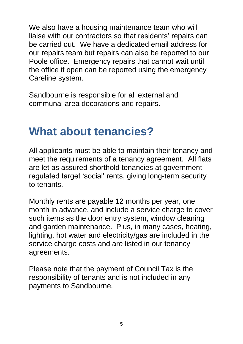We also have a housing maintenance team who will liaise with our contractors so that residents' repairs can be carried out. We have a dedicated email address for our repairs team but repairs can also be reported to our Poole office. Emergency repairs that cannot wait until the office if open can be reported using the emergency Careline system.

Sandbourne is responsible for all external and communal area decorations and repairs.

#### **What about tenancies?**

All applicants must be able to maintain their tenancy and meet the requirements of a tenancy agreement. All flats are let as assured shorthold tenancies at government regulated target 'social' rents, giving long-term security to tenants.

Monthly rents are payable 12 months per year, one month in advance, and include a service charge to cover such items as the door entry system, window cleaning and garden maintenance. Plus, in many cases, heating, lighting, hot water and electricity/gas are included in the service charge costs and are listed in our tenancy agreements.

Please note that the payment of Council Tax is the responsibility of tenants and is not included in any payments to Sandbourne.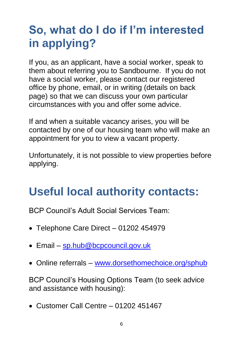# **So, what do I do if I'm interested in applying?**

If you, as an applicant, have a social worker, speak to them about referring you to Sandbourne. If you do not have a social worker, please contact our registered office by phone, email, or in writing (details on back page) so that we can discuss your own particular circumstances with you and offer some advice.

If and when a suitable vacancy arises, you will be contacted by one of our housing team who will make an appointment for you to view a vacant property.

Unfortunately, it is not possible to view properties before applying.

#### **Useful local authority contacts:**

BCP Council's Adult Social Services Team:

- Telephone Care Direct 01202 454979
- Email [sp.hub@bcpcouncil.gov.uk](mailto:sp.hub@bcpcouncil.gov.uk)
- Online referrals [www.dorsethomechoice.org/sphub](http://www.dorsethomechoice.org/sphub)

BCP Council's Housing Options Team (to seek advice and assistance with housing):

Customer Call Centre – 01202 451467